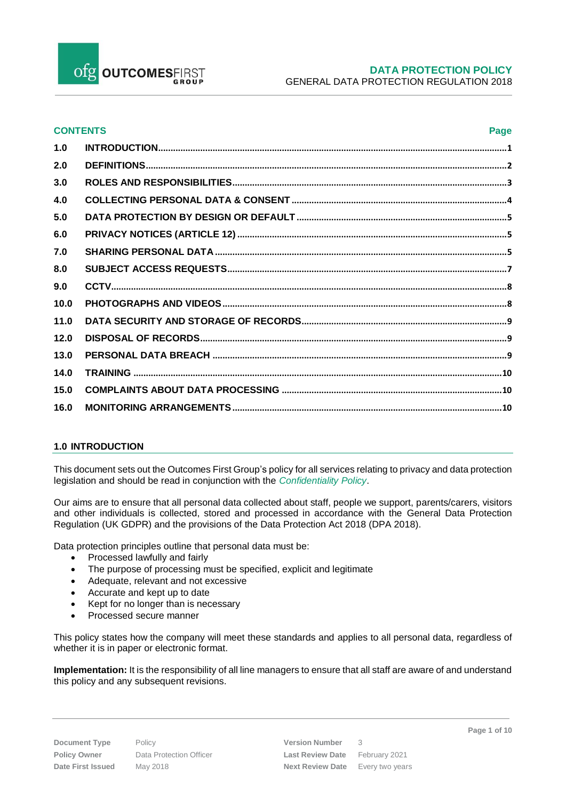Ofg OUTCOMESFIRST

# **DATA PROTECTION POLICY** GENERAL DATA PROTECTION REGULATION 2018

| <b>CONTENTS</b><br>Page |  |  |
|-------------------------|--|--|
| 1.0                     |  |  |
| 2.0                     |  |  |
| 3.0                     |  |  |
| 4.0                     |  |  |
| 5.0                     |  |  |
| 6.0                     |  |  |
| 7.0                     |  |  |
| 8.0                     |  |  |
| 9.0                     |  |  |
| 10.0                    |  |  |
| 11.0                    |  |  |
| 12.0                    |  |  |
| 13.0                    |  |  |
| 14.0                    |  |  |
| 15.0                    |  |  |
| 16.0                    |  |  |
|                         |  |  |

## <span id="page-0-0"></span>**1.0 INTRODUCTION**

This document sets out the Outcomes First Group's policy for all services relating to privacy and data protection legislation and should be read in conjunction with the *Confidentiality Policy*.

Our aims are to ensure that all personal data collected about staff, people we support, parents/carers, visitors and other individuals is collected, stored and processed in accordance with the [General Data Protection](http://data.consilium.europa.eu/doc/document/ST-5419-2016-INIT/en/pdf)  [Regulation \(UK GDPR\)](http://data.consilium.europa.eu/doc/document/ST-5419-2016-INIT/en/pdf) and the provisions of the Data Protection Act 2018 (DPA 2018).

Data protection principles outline that personal data must be:

- Processed lawfully and fairly
- The purpose of processing must be specified, explicit and legitimate
- Adequate, relevant and not excessive
- Accurate and kept up to date
- Kept for no longer than is necessary
- Processed secure manner

This policy states how the company will meet these standards and applies to all personal data, regardless of whether it is in paper or electronic format.

**Implementation:** It is the responsibility of all line managers to ensure that all staff are aware of and understand this policy and any subsequent revisions.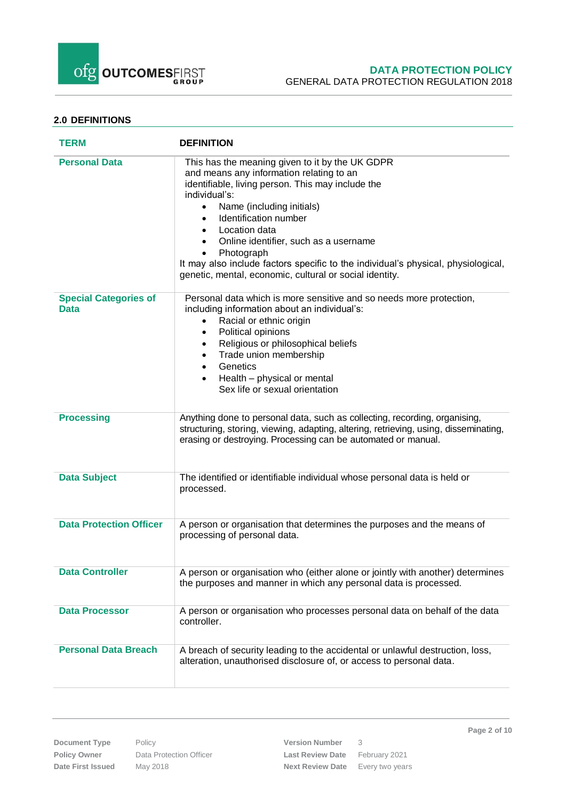

# **DATA PROTECTION POLICY** GENERAL DATA PROTECTION REGULATION 2018

# <span id="page-1-0"></span>**2.0 DEFINITIONS**

| <b>TERM</b>                                 | <b>DEFINITION</b>                                                                                                                                                                                                                                                                                                                                                                                                                                                                                                |
|---------------------------------------------|------------------------------------------------------------------------------------------------------------------------------------------------------------------------------------------------------------------------------------------------------------------------------------------------------------------------------------------------------------------------------------------------------------------------------------------------------------------------------------------------------------------|
| <b>Personal Data</b>                        | This has the meaning given to it by the UK GDPR<br>and means any information relating to an<br>identifiable, living person. This may include the<br>individual's:<br>Name (including initials)<br>$\bullet$<br>Identification number<br>$\bullet$<br>Location data<br>$\bullet$<br>Online identifier, such as a username<br>$\bullet$<br>Photograph<br>$\bullet$<br>It may also include factors specific to the individual's physical, physiological,<br>genetic, mental, economic, cultural or social identity. |
| <b>Special Categories of</b><br><b>Data</b> | Personal data which is more sensitive and so needs more protection,<br>including information about an individual's:<br>Racial or ethnic origin<br>$\bullet$<br>Political opinions<br>$\bullet$<br>Religious or philosophical beliefs<br>٠<br>Trade union membership<br>٠<br>Genetics<br>$\bullet$<br>Health - physical or mental<br>$\bullet$<br>Sex life or sexual orientation                                                                                                                                  |
| <b>Processing</b>                           | Anything done to personal data, such as collecting, recording, organising,<br>structuring, storing, viewing, adapting, altering, retrieving, using, disseminating,<br>erasing or destroying. Processing can be automated or manual.                                                                                                                                                                                                                                                                              |
| <b>Data Subject</b>                         | The identified or identifiable individual whose personal data is held or<br>processed.                                                                                                                                                                                                                                                                                                                                                                                                                           |
| <b>Data Protection Officer</b>              | A person or organisation that determines the purposes and the means of<br>processing of personal data.                                                                                                                                                                                                                                                                                                                                                                                                           |
| <b>Data Controller</b>                      | A person or organisation who (either alone or jointly with another) determines<br>the purposes and manner in which any personal data is processed.                                                                                                                                                                                                                                                                                                                                                               |
| <b>Data Processor</b>                       | A person or organisation who processes personal data on behalf of the data<br>controller.                                                                                                                                                                                                                                                                                                                                                                                                                        |
| <b>Personal Data Breach</b>                 | A breach of security leading to the accidental or unlawful destruction, loss,<br>alteration, unauthorised disclosure of, or access to personal data.                                                                                                                                                                                                                                                                                                                                                             |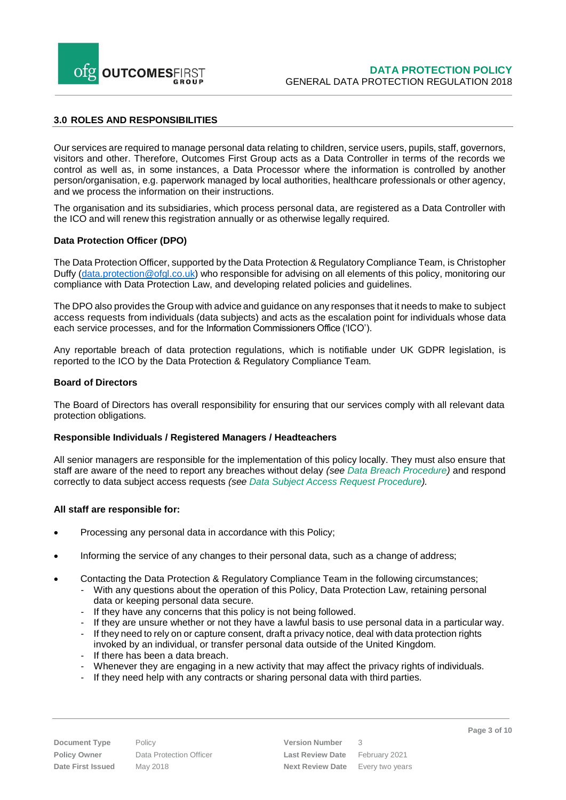

## <span id="page-2-0"></span>**3.0 ROLES AND RESPONSIBILITIES**

Our services are required to manage personal data relating to children, service users, pupils, staff, governors, visitors and other. Therefore, Outcomes First Group acts as a Data Controller in terms of the records we control as well as, in some instances, a Data Processor where the information is controlled by another person/organisation, e.g. paperwork managed by local authorities, healthcare professionals or otheragency, and we process the information on their instructions.

The organisation and its subsidiaries, which process personal data, are registered as a Data Controller with the ICO and will renew this registration annually or as otherwise legally required.

#### **Data Protection Officer (DPO)**

The Data Protection Officer, supported by the Data Protection & Regulatory Compliance Team, is Christopher Duffy [\(data.protection@ofgl.co.uk\)](mailto:data.protection@ofgl.co.uk) who responsible for advising on all elements of this policy, monitoring our compliance with Data Protection Law, and developing related policies and guidelines.

The DPO also provides the Group with advice and guidance on any responses that it needs to make to subject access requests from individuals (data subjects) and acts as the escalation point for individuals whose data each service processes, and for the Information Commissioners Office ('ICO').

Any reportable breach of data protection regulations, which is notifiable under UK GDPR legislation, is reported to the ICO by the Data Protection & Regulatory Compliance Team.

#### **Board of Directors**

The Board of Directors has overall responsibility for ensuring that our services comply with all relevant data protection obligations.

#### **Responsible Individuals / Registered Managers / Headteachers**

All senior managers are responsible for the implementation of this policy locally. They must also ensure that staff are aware of the need to report any breaches without delay *(see Data Breach Procedure)* and respond correctly to data subject access requests *(see Data Subject Access Request Procedure).*

#### **All staff are responsible for:**

- Processing any personal data in accordance with this Policy;
- Informing the service of any changes to their personal data, such as a change of address;
- Contacting the Data Protection & Regulatory Compliance Team in the following circumstances;
	- With any questions about the operation of this Policy, Data Protection Law, retaining personal data or keeping personal data secure.
	- If they have any concerns that this policy is not being followed.
	- If they are unsure whether or not they have a lawful basis to use personal data in a particular way.
	- If they need to rely on or capture consent, draft a privacy notice, deal with data protection rights invoked by an individual, or transfer personal data outside of the United Kingdom.
	- If there has been a data breach.
	- Whenever they are engaging in a new activity that may affect the privacy rights of individuals.
	- If they need help with any contracts or sharing personal data with third parties.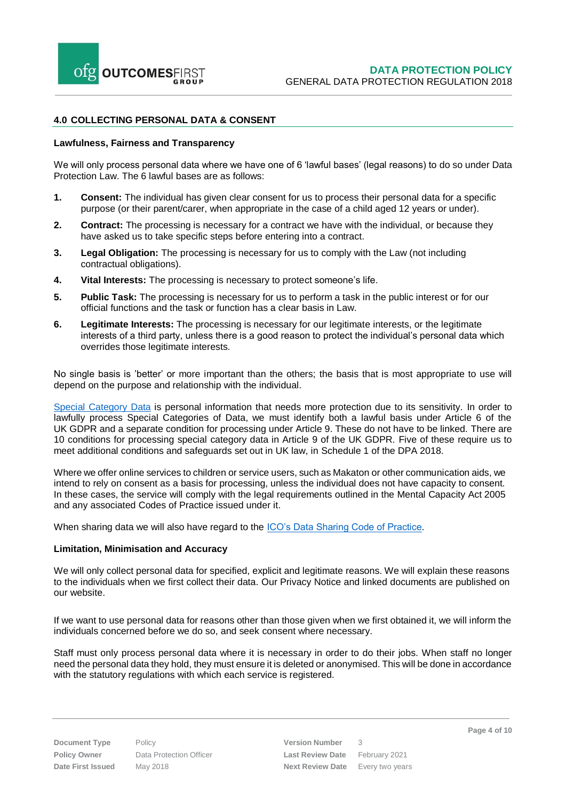## <span id="page-3-0"></span>**4.0 COLLECTING PERSONAL DATA & CONSENT**

#### **Lawfulness, Fairness and Transparency**

We will only process personal data where we have one of 6 'lawful bases' (legal reasons) to do so under Data Protection Law. The 6 lawful bases are as follows:

- **1. Consent:** The individual has given clear consent for us to process their personal data for a specific purpose (or their parent/carer, when appropriate in the case of a child aged 12 years or under).
- **2. Contract:** The processing is necessary for a contract we have with the individual, or because they have asked us to take specific steps before entering into a contract.
- **3. Legal Obligation:** The processing is necessary for us to comply with the Law (not including contractual obligations).
- **4. Vital Interests:** The processing is necessary to protect someone's life.
- **5. Public Task:** The processing is necessary for us to perform a task in the public interest or for our official functions and the task or function has a clear basis in Law.
- **6. Legitimate Interests:** The processing is necessary for our legitimate interests, or the legitimate interests of a third party, unless there is a good reason to protect the individual's personal data which overrides those legitimate interests.

No single basis is 'better' or more important than the others; the basis that is most appropriate to use will depend on the purpose and relationship with the individual.

[Special Category Data](https://ico.org.uk/for-organisations/guide-to-data-protection/guide-to-the-general-data-protection-regulation-gdpr/lawful-basis-for-processing/special-category-data/) is personal information that needs more protection due to its sensitivity. In order to lawfully process Special Categories of Data, we must identify both a lawful basis under Article 6 of the UK GDPR and a separate condition for processing under Article 9. These do not have to be linked. There are 10 conditions for processing special category data in Article 9 of the UK GDPR. Five of these require us to meet additional conditions and safeguards set out in UK law, in Schedule 1 of the DPA 2018.

Where we offer online services to children or service users, such as Makaton or other communication aids, we intend to rely on consent as a basis for processing, unless the individual does not have capacity to consent. In these cases, the service will comply with the legal requirements outlined in the Mental Capacity Act 2005 and any associated Codes of Practice issued under it.

When sharing data we will also have regard to the **ICO's Data Sharing Code of Practice**.

#### **Limitation, Minimisation and Accuracy**

We will only collect personal data for specified, explicit and legitimate reasons. We will explain these reasons to the individuals when we first collect their data. Our Privacy Notice and linked documents are published on our website.

If we want to use personal data for reasons other than those given when we first obtained it, we will inform the individuals concerned before we do so, and seek consent where necessary.

Staff must only process personal data where it is necessary in order to do their jobs. When staff no longer need the personal data they hold, they must ensure it is deleted or anonymised. This will be done in accordance with the statutory regulations with which each service is registered.

**Document Type** Policy **Policy Policy Version Number** 3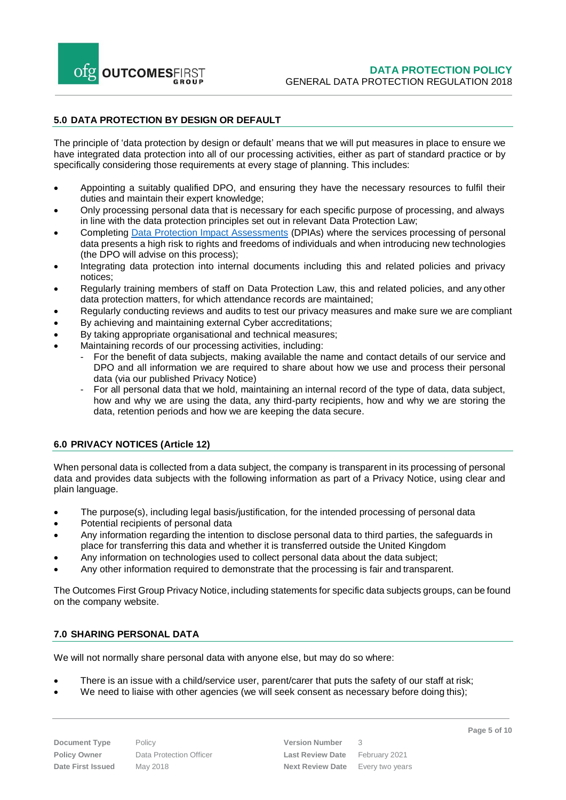

#### <span id="page-4-0"></span>**5.0 DATA PROTECTION BY DESIGN OR DEFAULT**

The principle of 'data protection by design or default' means that we will put measures in place to ensure we have integrated data protection into all of our processing activities, either as part of standard practice or by specifically considering those requirements at every stage of planning. This includes:

- Appointing a suitably qualified DPO, and ensuring they have the necessary resources to fulfil their duties and maintain their expert knowledge;
- Only processing personal data that is necessary for each specific purpose of processing, and always in line with the data protection principles set out in relevant Data Protection Law;
- Completing [Data Protection](https://ico.org.uk/for-organisations/guide-to-data-protection/guide-to-the-general-data-protection-regulation-gdpr/accountability-and-governance/data-protection-impact-assessments/) Impact Assessments (DPIAs) where the services processing of personal data presents a high risk to rights and freedoms of individuals and when introducing new technologies (the DPO will advise on this process);
- Integrating data protection into internal documents including this and related policies and privacy notices;
- Regularly training members of staff on Data Protection Law, this and related policies, and anyother data protection matters, for which attendance records are maintained;
- Regularly conducting reviews and audits to test our privacy measures and make sure we are compliant
- By achieving and maintaining external Cyber accreditations;
- By taking appropriate organisational and technical measures;
- Maintaining records of our processing activities, including:
	- For the benefit of data subjects, making available the name and contact details of our service and DPO and all information we are required to share about how we use and process their personal data (via our published Privacy Notice)
	- For all personal data that we hold, maintaining an internal record of the type of data, data subject, how and why we are using the data, any third-party recipients, how and why we are storing the data, retention periods and how we are keeping the data secure.

## <span id="page-4-1"></span>**6.0 PRIVACY NOTICES (Article 12)**

When personal data is collected from a data subject, the company is transparent in its processing of personal data and provides data subjects with the following information as part of a Privacy Notice, using clear and plain language.

- The purpose(s), including legal basis/justification, for the intended processing of personal data
- Potential recipients of personal data
- Any information regarding the intention to disclose personal data to third parties, the safeguards in place for transferring this data and whether it is transferred outside the United Kingdom
- Any information on technologies used to collect personal data about the data subject;
- Any other information required to demonstrate that the processing is fair and transparent.

The Outcomes First Group Privacy Notice, including statements for specific data subjects groups, can be found on the company website.

#### <span id="page-4-2"></span>**7.0 SHARING PERSONAL DATA**

We will not normally share personal data with anyone else, but may do so where:

- There is an issue with a child/service user, parent/carer that puts the safety of our staff at risk;
- We need to liaise with other agencies (we will seek consent as necessary before doing this);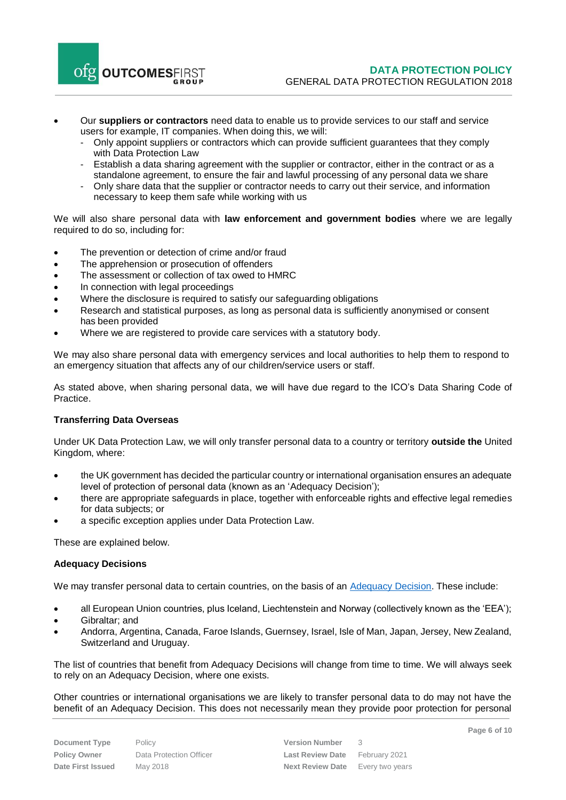

- Our **suppliers or contractors** need data to enable us to provide services to our staff and service users for example, IT companies. When doing this, we will:
	- Only appoint suppliers or contractors which can provide sufficient guarantees that they comply with Data Protection Law
	- Establish a data sharing agreement with the supplier or contractor, either in the contract or as a standalone agreement, to ensure the fair and lawful processing of any personal data we share
	- Only share data that the supplier or contractor needs to carry out their service, and information necessary to keep them safe while working with us

We will also share personal data with **law enforcement and government bodies** where we are legally required to do so, including for:

- The prevention or detection of crime and/or fraud
- The apprehension or prosecution of offenders
- The assessment or collection of tax owed to HMRC
- In connection with legal proceedings
- Where the disclosure is required to satisfy our safeguarding obligations
- Research and statistical purposes, as long as personal data is sufficiently anonymised or consent has been provided
- Where we are registered to provide care services with a statutory body.

We may also share personal data with emergency services and local authorities to help them to respond to an emergency situation that affects any of our children/service users or staff.

As stated above, when sharing personal data, we will have due regard to the ICO's Data Sharing Code of Practice.

## **Transferring Data Overseas**

Under UK Data Protection Law, we will only transfer personal data to a country or territory **outside the** United Kingdom, where:

- the UK government has decided the particular country or international organisation ensures an adequate level of protection of personal data (known as an 'Adequacy Decision');
- there are appropriate safeguards in place, together with enforceable rights and effective legal remedies for data subjects; or
- a specific exception applies under Data Protection Law.

These are explained below.

#### **Adequacy Decisions**

We may transfer personal data to certain countries, on the basis of an **Adequacy Decision**. These include:

- all European Union countries, plus Iceland, Liechtenstein and Norway (collectively known as the 'EEA');
- Gibraltar; and
- Andorra, Argentina, Canada, Faroe Islands, Guernsey, Israel, Isle of Man, Japan, Jersey, New Zealand, Switzerland and Uruguay.

The list of countries that benefit from Adequacy Decisions will change from time to time. We will always seek to rely on an Adequacy Decision, where one exists.

Other countries or international organisations we are likely to transfer personal data to do may not have the benefit of an Adequacy Decision. This does not necessarily mean they provide poor protection for personal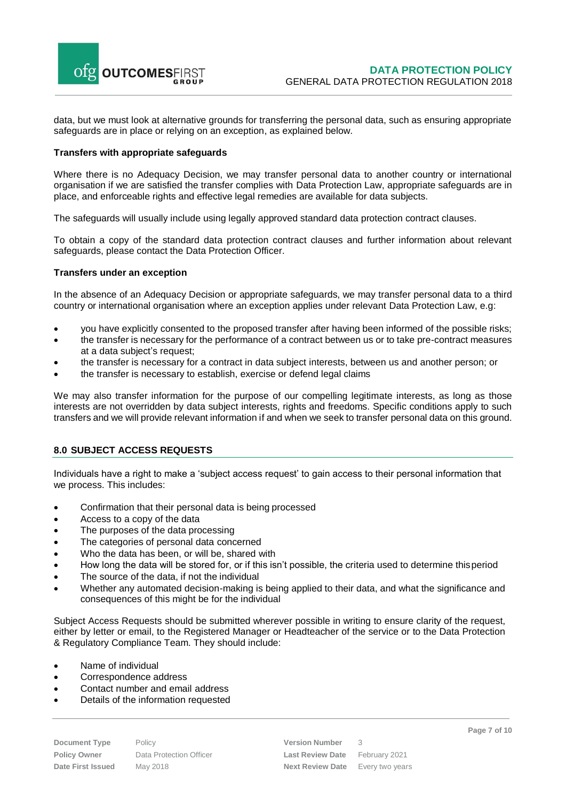

data, but we must look at alternative grounds for transferring the personal data, such as ensuring appropriate safeguards are in place or relying on an exception, as explained below.

#### **Transfers with appropriate safeguards**

Where there is no Adequacy Decision, we may transfer personal data to another country or international organisation if we are satisfied the transfer complies with Data Protection Law, appropriate safeguards are in place, and enforceable rights and effective legal remedies are available for data subjects.

The safeguards will usually include using legally approved standard data protection contract clauses.

To obtain a copy of the standard data protection contract clauses and further information about relevant safeguards, please contact the Data Protection Officer.

#### **Transfers under an exception**

In the absence of an Adequacy Decision or appropriate safeguards, we may transfer personal data to a third country or international organisation where an exception applies under relevant Data Protection Law, e.g:

- you have explicitly consented to the proposed transfer after having been informed of the possible risks;
- the transfer is necessary for the performance of a contract between us or to take pre-contract measures at a data subject's request;
- the transfer is necessary for a contract in data subject interests, between us and another person; or
- the transfer is necessary to establish, exercise or defend legal claims

We may also transfer information for the purpose of our compelling legitimate interests, as long as those interests are not overridden by data subject interests, rights and freedoms. Specific conditions apply to such transfers and we will provide relevant information if and when we seek to transfer personal data on this ground.

## <span id="page-6-0"></span>**8.0 SUBJECT ACCESS REQUESTS**

Individuals have a right to make a 'subject access request' to gain access to their personal information that we process. This includes:

- Confirmation that their personal data is being processed
- Access to a copy of the data
- The purposes of the data processing
- The categories of personal data concerned
- Who the data has been, or will be, shared with
- How long the data will be stored for, or if this isn't possible, the criteria used to determine thisperiod
- The source of the data, if not the individual
- Whether any automated decision-making is being applied to their data, and what the significance and consequences of this might be for the individual

Subject Access Requests should be submitted wherever possible in writing to ensure clarity of the request, either by letter or email, to the Registered Manager or Headteacher of the service or to the Data Protection & Regulatory Compliance Team. They should include:

- Name of individual
- Correspondence address
- Contact number and email address
- Details of the information requested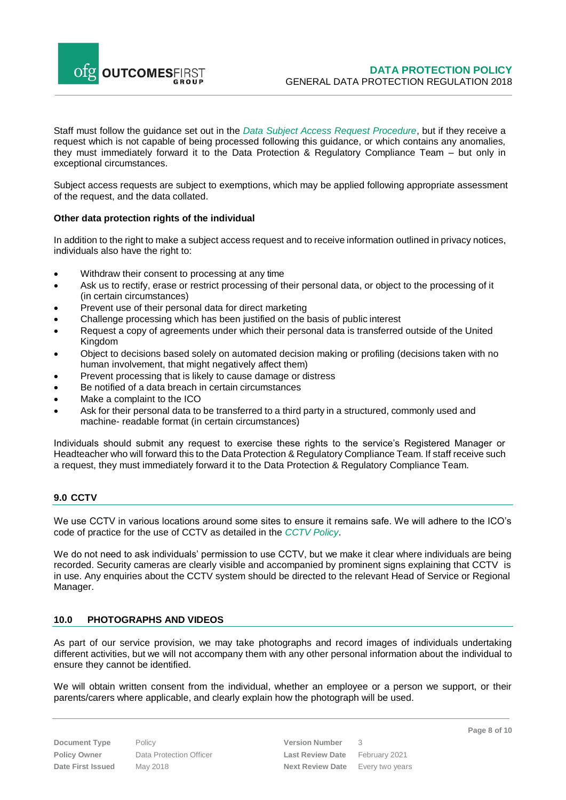

Staff must follow the guidance set out in the *Data Subject Access Request Procedure*, but if they receive a request which is not capable of being processed following this guidance, or which contains any anomalies, they must immediately forward it to the Data Protection & Regulatory Compliance Team – but only in exceptional circumstances.

Subject access requests are subject to exemptions, which may be applied following appropriate assessment of the request, and the data collated.

#### **Other data protection rights of the individual**

In addition to the right to make a subject access request and to receive information outlined in privacy notices, individuals also have the right to:

- Withdraw their consent to processing at any time
- Ask us to rectify, erase or restrict processing of their personal data, or object to the processing of it (in certain circumstances)
- Prevent use of their personal data for direct marketing
- Challenge processing which has been justified on the basis of public interest
- Request a copy of agreements under which their personal data is transferred outside of the United Kingdom
- Object to decisions based solely on automated decision making or profiling (decisions taken with no human involvement, that might negatively affect them)
- Prevent processing that is likely to cause damage or distress
- Be notified of a data breach in certain circumstances
- Make a complaint to the ICO
- Ask for their personal data to be transferred to a third party in a structured, commonly used and machine- readable format (in certain circumstances)

Individuals should submit any request to exercise these rights to the service's Registered Manager or Headteacher who will forward this to the Data Protection & Regulatory Compliance Team. If staff receive such a request, they must immediately forward it to the Data Protection & Regulatory Compliance Team.

## <span id="page-7-0"></span>**9.0 CCTV**

We use CCTV in various locations around some sites to ensure it remains safe. We will adhere to the ICO's [code of practice f](https://ico.org.uk/media/for-organisations/documents/1542/cctv-code-of-practice.pdf)or the use of CCTV as detailed in the *CCTV Policy*.

We do not need to ask individuals' permission to use CCTV, but we make it clear where individuals are being recorded. Security cameras are clearly visible and accompanied by prominent signs explaining that CCTV is in use. Any enquiries about the CCTV system should be directed to the relevant Head of Service or Regional Manager.

## <span id="page-7-1"></span>**10.0 PHOTOGRAPHS AND VIDEOS**

As part of our service provision, we may take photographs and record images of individuals undertaking different activities, but we will not accompany them with any other personal information about the individual to ensure they cannot be identified.

We will obtain written consent from the individual, whether an employee or a person we support, or their parents/carers where applicable, and clearly explain how the photograph will be used.

**Document Type** Policy **Policy Policy Version Number** 3 **Policy Owner** Data Protection Officer **Last Review Date** February 2021 **Date First Issued** May 2018 **Next Review Date** Every two years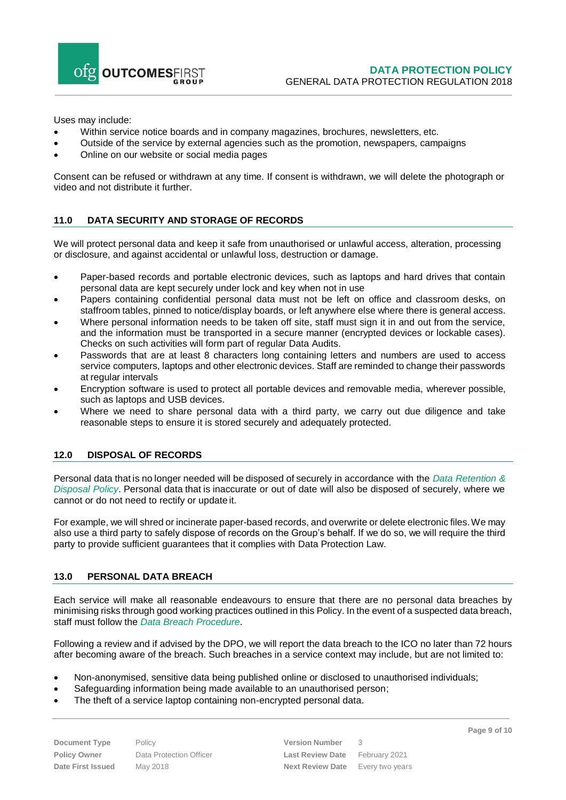

Uses may include:

- Within service notice boards and in company magazines, brochures, newsletters, etc.
- Outside of the service by external agencies such as the promotion, newspapers, campaigns
- Online on our website or social media pages

Consent can be refused or withdrawn at any time. If consent is withdrawn, we will delete the photograph or video and not distribute it further.

# <span id="page-8-0"></span>**11.0 DATA SECURITY AND STORAGE OF RECORDS**

We will protect personal data and keep it safe from unauthorised or unlawful access, alteration, processing or disclosure, and against accidental or unlawful loss, destruction or damage.

- Paper-based records and portable electronic devices, such as laptops and hard drives that contain personal data are kept securely under lock and key when not in use
- Papers containing confidential personal data must not be left on office and classroom desks, on staffroom tables, pinned to notice/display boards, or left anywhere else where there is general access.
- Where personal information needs to be taken off site, staff must sign it in and out from the service, and the information must be transported in a secure manner (encrypted devices or lockable cases). Checks on such activities will form part of regular Data Audits.
- Passwords that are at least 8 characters long containing letters and numbers are used to access service computers, laptops and other electronic devices. Staff are reminded to change their passwords at regular intervals
- Encryption software is used to protect all portable devices and removable media, wherever possible, such as laptops and USB devices.
- Where we need to share personal data with a third party, we carry out due diligence and take reasonable steps to ensure it is stored securely and adequately protected.

## <span id="page-8-1"></span>**12.0 DISPOSAL OF RECORDS**

Personal data thatis nolonger needed will bedisposed of securely in accordance with the *Data Retention & Disposal Policy*. Personal data that is inaccurate or out of date will also be disposed of securely, where we cannot or do not need to rectify or updateit.

For example, we will shred or incinerate paper-based records, and overwrite or delete electronic files. We may also use a third party to safely dispose of records on the Group's behalf. If we do so, we will require the third party to provide sufficient guarantees that it complies with Data Protection Law.

## <span id="page-8-2"></span>**13.0 PERSONAL DATA BREACH**

Each service will make all reasonable endeavours to ensure that there are no personal data breaches by minimising risks through good working practices outlined in this Policy. In the event of a suspected data breach, staff must follow the *Data Breach Procedure*.

Following a review and if advised by the DPO, we will report the data breach to the ICO no later than 72 hours after becoming aware of the breach. Such breaches in a service context may include, but are not limited to:

- Non-anonymised, sensitive data being published online or disclosed to unauthorised individuals;
- Safeguarding information being made available to an unauthorised person;
- The theft of a service laptop containing non-encrypted personal data.